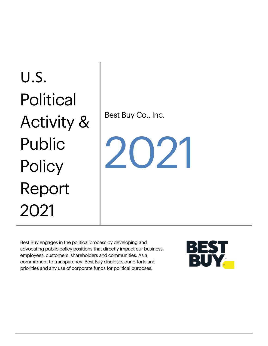# U.S. **Political** Activity & Public **Policy** Report 2021

Best Buy Co., Inc.

 $202$ 

Best Buy engages in the political process by developing and advocating public policy positions that directly impact our business, employees, customers, shareholders and communities. As a commitment to transparency, Best Buy discloses our efforts and priorities and any use of corporate funds for political purposes.

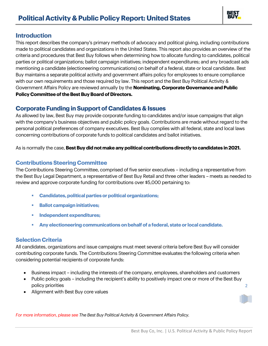

### **Introduction**

This report describes the company's primary methods of advocacy and political giving, including contributions made to political candidates and organizations in the United States. This report also provides an overview of the criteria and procedures that Best Buy follows when determining how to allocate funding to candidates, political parties or political organizations; ballot campaign initiatives; independent expenditures; and any broadcast ads mentioning a candidate (electioneering communications) on behalf of a federal, state or local candidate. Best Buy maintains a separate political activity and government affairs policy for employees to ensure compliance with our own requirements and those required by law. This report and the Best Buy Political Activity & Government Affairs Policy are reviewed annually by the **Nominating, Corporate Governance and Public Policy Committee of the Best Buy Board of Directors.**

## **Corporate Funding in Support of Candidates & Issues**

As allowed by law, Best Buy may provide corporate funding to candidates and/or issue campaigns that align with the company's business objectives and public policy goals. Contributions are made without regard to the personal political preferences of company executives. Best Buy complies with all federal, state and local laws concerning contributions of corporate funds to political candidates and ballot initiatives.

As is normally the case, **Best Buy did not make any political contributions directly to candidates in 2021.** 

#### **Contributions Steering Committee**

The Contributions Steering Committee, comprised of five senior executives – including a representative from the Best Buy Legal Department, a representative of Best Buy Retail and three other leaders – meets as needed to review and approve corporate funding for contributions over \$5,000 pertaining to:

- **Candidates, political parties or political organizations;**
- **Ballot campaign initiatives;**
- **Independent expenditures;**
- **Any electioneering communications on behalf of a federal, state or local candidate.**

#### **Selection Criteria**

All candidates, organizations and issue campaigns must meet several criteria before Best Buy will consider contributing corporate funds. The Contributions Steering Committee evaluates the following criteria when considering potential recipients of corporate funds:

- Business impact including the interests of the company, employees, shareholders and customers
- Public policy goals including the recipient's ability to positively impact one or more of the Best Buy policy priorities
- Alignment with Best Buy core values

2

*For more information, please see The Best Buy Political Activity & Government Affairs Policy.*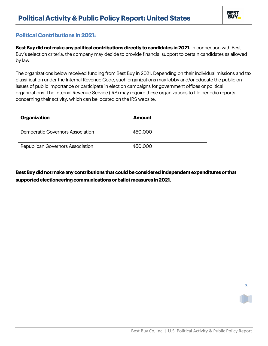

## **Political Contributions in 2021:**

**Best Buy did not make any political contributions directly to candidates in 2021.** In connection with Best Buy's selection criteria, the company may decide to provide financial support to certain candidates as allowed by law.

The organizations below received funding from Best Buy in 2021. Depending on their individual missions and tax classification under the Internal Revenue Code, such organizations may lobby and/or educate the public on issues of public importance or participate in election campaigns for government offices or political organizations. The Internal Revenue Service (IRS) may require these organizations to file periodic reports concerning their activity, which can be located on the IRS website.

| <b>Organization</b>                     | <b>Amount</b> |
|-----------------------------------------|---------------|
| Democratic Governors Association        | \$50,000      |
| <b>Republican Governors Association</b> | \$50,000      |

**Best Buy did not make any contributions that could be considered independent expenditures or that supported electioneering communications or ballot measures in 2021.**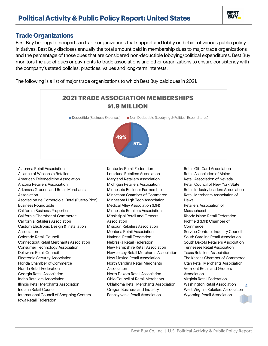

#### **Trade Organizations**

Best Buy belongs to nonpartisan trade organizations that support and lobby on behalf of various public policy initiatives. Best Buy discloses annually the total amount paid in membership dues to major trade organizations and the percentage of those dues that are considered non-deductible lobbying/political expenditures. Best Buy monitors the use of dues or payments to trade associations and other organizations to ensure consistency with the company's stated policies, practices, values and long-term interests.

The following is a list of major trade organizations to which Best Buy paid dues in 2021:



Alabama Retail Association Alliance of Wisconsin Retailers American Telemedicine Association Arizona Retailers Association Arkansas Grocers and Retail Merchants Association Asociación de Comercio al Detal (Puerto Rico) Business Roundtable California Business Properties California Chamber of Commerce California Retailers Association Custom Electronic Design & Installation Association Colorado Retail Council Connecticut Retail Merchants Association Consumer Technology Association Delaware Retail Council Electronic Security Association Florida Chamber of Commerce Florida Retail Federation Georgia Retail Association Idaho Retailers Association Illinois Retail Merchants Association Indiana Retail Council International Council of Shopping Centers Iowa Retail Federation

Kentucky Retail Federation Louisiana Retailers Association Maryland Retailers Association Michigan Retailers Association Minnesota Business Partnership Minnesota Chamber of Commerce Minnesota High Tech Association Medical Alley Association (MN) Minnesota Retailers Association Mississippi Retail and Grocers Association Missouri Retailers Association Montana Retail Association National Retail Federation Nebraska Retail Federation New Hampshire Retail Association New Jersey Retail Merchants Association New Mexico Retail Association North Carolina Retail Merchants Association North Dakota Retail Association Ohio Council of Retail Merchants Oklahoma Retail Merchants Association Oregon Business and Industry Pennsylvania Retail Association

4 Retail Gift Card Association Retail Association of Maine Retail Association of Nevada Retail Council of New York State Retail Industry Leaders Association Retail Merchants Association of Hawaii Retailers Association of **Massachusetts** Rhode Island Retail Federation Richfield (MN) Chamber of **Commerce** Service Contract Industry Council South Carolina Retail Association South Dakota Retailers Association Tennessee Retail Association Texas Retailers Association The Kansas Chamber of Commerce Utah Retail Merchants Association Vermont Retail and Grocers Association Virginia Retail Federation Washington Retail Association West Virginia Retailers Association Wyoming Retail Association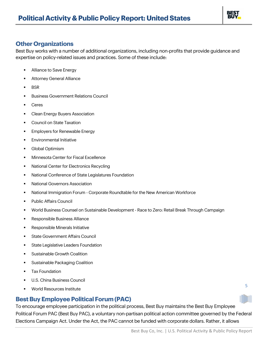

## **Other Organizations**

Best Buy works with a number of additional organizations, including non-profits that provide guidance and expertise on policy-related issues and practices. Some of these include:

- Alliance to Save Energy
- **Attorney General Alliance**
- BSR
- **Business Government Relations Council**
- **Ceres**
- Clean Energy Buyers Association
- Council on State Taxation
- **Employers for Renewable Energy**
- **•** Environmental Initiative
- **Global Optimism**
- Minnesota Center for Fiscal Excellence
- National Center for Electronics Recycling
- National Conference of State Legislatures Foundation
- National Governors Association
- National Immigration Forum Corporate Roundtable for the New American Workforce
- Public Affairs Council
- World Business Counsel on Sustainable Development Race to Zero: Retail Break Through Campaign
- Responsible Business Alliance
- **Responsible Minerals Initiative**
- State Government Affairs Council
- State Legislative Leaders Foundation
- Sustainable Growth Coalition
- Sustainable Packaging Coalition
- **Tax Foundation**
- U.S. China Business Council
- World Resources Institute

## **Best Buy Employee Political Forum (PAC)**

To encourage employee participation in the political process, Best Buy maintains the Best Buy Employee Political Forum PAC (Best Buy PAC), a voluntary non-partisan political action committee governed by the Federal Elections Campaign Act. Under the Act, the PAC cannot be funded with corporate dollars. Rather, it allows

5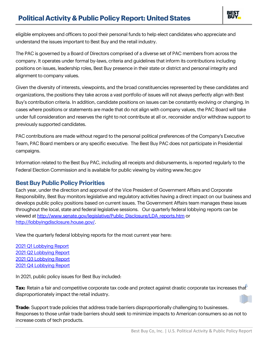

eligible employees and officers to pool their personal funds to help elect candidates who appreciate and understand the issues important to Best Buy and the retail industry.

The PAC is governed by a Board of Directors comprised of a diverse set of PAC members from across the company. It operates under formal by-laws, criteria and guidelines that inform its contributions including positions on issues, leadership roles, Best Buy presence in their state or district and personal integrity and alignment to company values.

Given the diversity of interests, viewpoints, and the broad constituencies represented by these candidates and organizations, the positions they take across a vast portfolio of issues will not always perfectly align with Best Buy's contribution criteria. In addition, candidate positions on issues can be constantly evolving or changing. In cases where positions or statements are made that do not align with company values, the PAC Board will take under full consideration and reserves the right to not contribute at all or, reconsider and/or withdraw support to previously supported candidates.

PAC contributions are made without regard to the personal political preferences of the Company's Executive Team, PAC Board members or any specific executive. The Best Buy PAC does not participate in Presidential campaigns.

Information related to the Best Buy PAC, including all receipts and disbursements, is reported regularly to the Federal Election Commission and is available for public viewing by visiting www.fec.gov

## **Best Buy Public Policy Priorities**

Each year, under the direction and approval of the Vice President of Government Affairs and Corporate Responsibility, Best Buy monitors legislative and regulatory activities having a direct impact on our business and develops public policy positions based on current issues. The Government Affairs team manages these issues throughout the local, state and federal legislative sessions. Our quarterly federal lobbying reports can be viewed at [http://www.senate.gov/legislative/Public\\_Disclosure/LDA\\_reports.htm](http://www.senate.gov/legislative/Public_Disclosure/LDA_reports.htm) or [http://lobbyingdisclosure.house.gov/.](http://lobbyingdisclosure.house.gov/)

View the quarterly federal lobbying reports for the most current year here:

 [Q1 Lobbying Report](https://lda.senate.gov/filings/public/filing/36845e3f-e830-4963-b82b-bbcbf4a7ab43/print/)  [Q2 Lobbying Report](https://lda.senate.gov/filings/public/filing/105d34bf-adc1-4602-bda0-551ad9ff7def/print/)  [Q3 Lobbying Report](https://lda.senate.gov/filings/public/filing/80f29f31-0988-4a5a-b18f-e584655332bc/print/) [Q4 Lobbying Report](https://lda.senate.gov/filings/public/filing/13d5387b-ca9a-4135-9a11-f8c7c6648aae/print/)

In 2021, public policy issues for Best Buy included:

 $\sf{Tax:}$  Retain a fair and competitive corporate tax code and protect against drastic corporate tax increases tha $\widehat{\mathfrak{k}}$ disproportionately impact the retail industry.

**Trade**: Support trade policies that address trade barriers disproportionally challenging to businesses. Responses to those unfair trade barriers should seek to minimize impacts to American consumers so as not to increase costs of tech products.